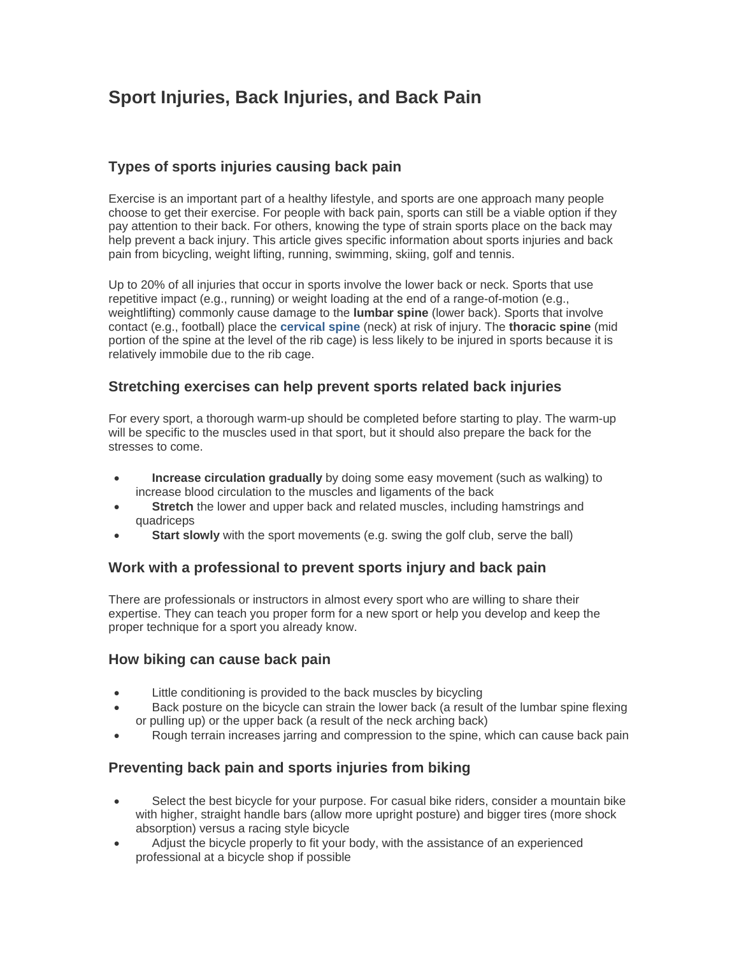# **Sport Injuries, Back Injuries, and Back Pain**

# **Types of sports injuries causing back pain**

Exercise is an important part of a healthy lifestyle, and sports are one approach many people choose to get their exercise. For people with back pain, sports can still be a viable option if they pay attention to their back. For others, knowing the type of strain sports place on the back may help prevent a back injury. This article gives specific information about sports injuries and back pain from bicycling, weight lifting, running, swimming, skiing, golf and tennis.

Up to 20% of all injuries that occur in sports involve the lower back or neck. Sports that use repetitive impact (e.g., running) or weight loading at the end of a range-of-motion (e.g., weightlifting) commonly cause damage to the **lumbar spine** (lower back). Sports that involve contact (e.g., football) place the **[cervical spine](http://www.spine-health.com/information/cervical-spine)** (neck) at risk of injury. The **thoracic spine** (mid portion of the spine at the level of the rib cage) is less likely to be injured in sports because it is relatively immobile due to the rib cage.

#### **Stretching exercises can help prevent sports related back injuries**

For every sport, a thorough warm-up should be completed before starting to play. The warm-up will be specific to the muscles used in that sport, but it should also prepare the back for the stresses to come.

- **Increase circulation gradually** by doing some easy movement (such as walking) to increase blood circulation to the muscles and ligaments of the back
- **Stretch** the lower and upper back and related muscles, including hamstrings and quadriceps
- **Start slowly** with the sport movements (e.g. swing the golf club, serve the ball)

## **Work with a professional to prevent sports injury and back pain**

There are professionals or instructors in almost every sport who are willing to share their expertise. They can teach you proper form for a new sport or help you develop and keep the proper technique for a sport you already know.

#### **How biking can cause back pain**

- Little conditioning is provided to the back muscles by bicycling
- Back posture on the bicycle can strain the lower back (a result of the lumbar spine flexing or pulling up) or the upper back (a result of the neck arching back)
- Rough terrain increases jarring and compression to the spine, which can cause back pain

#### **Preventing back pain and sports injuries from biking**

- Select the best bicycle for your purpose. For casual bike riders, consider a mountain bike with higher, straight handle bars (allow more upright posture) and bigger tires (more shock absorption) versus a racing style bicycle
- Adjust the bicycle properly to fit your body, with the assistance of an experienced professional at a bicycle shop if possible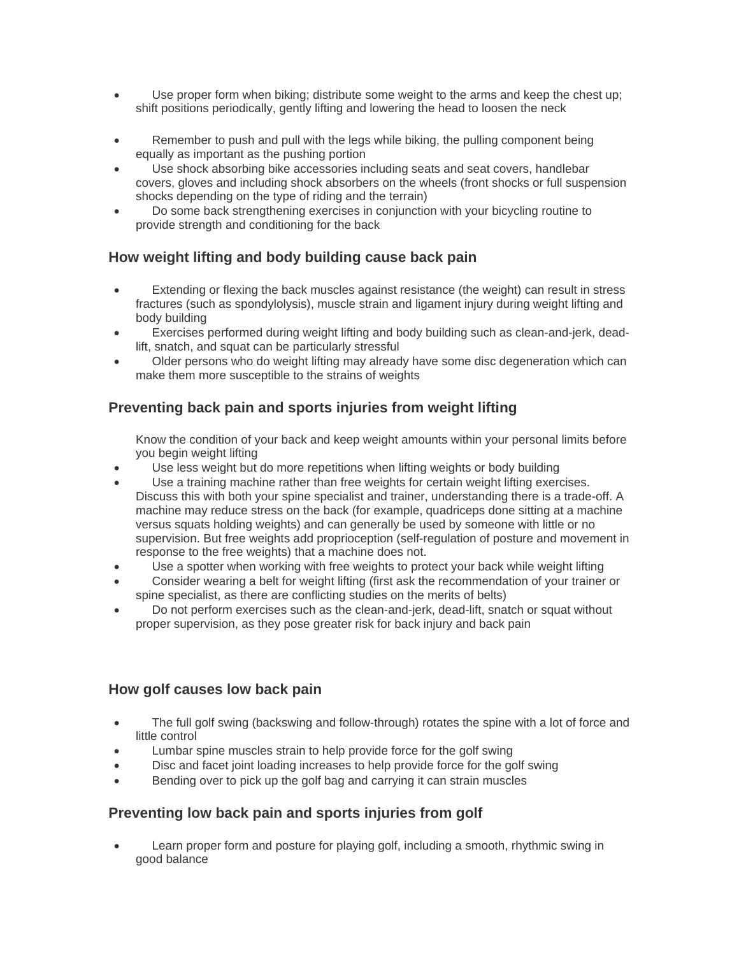- Use proper form when biking; distribute some weight to the arms and keep the chest up; shift positions periodically, gently lifting and lowering the head to loosen the neck
- Remember to push and pull with the legs while biking, the pulling component being equally as important as the pushing portion
- Use shock absorbing bike accessories including seats and seat covers, handlebar covers, gloves and including shock absorbers on the wheels (front shocks or full suspension shocks depending on the type of riding and the terrain)
- Do some back strengthening exercises in conjunction with your bicycling routine to provide strength and conditioning for the back

# **How weight lifting and body building cause back pain**

- Extending or flexing the back muscles against resistance (the weight) can result in stress fractures (such as spondylolysis), muscle strain and ligament injury during weight lifting and body building
- Exercises performed during weight lifting and body building such as clean-and-jerk, deadlift, snatch, and squat can be particularly stressful
- Older persons who do weight lifting may already have some disc degeneration which can make them more susceptible to the strains of weights

# **Preventing back pain and sports injuries from weight lifting**

Know the condition of your back and keep weight amounts within your personal limits before you begin weight lifting

- Use less weight but do more repetitions when lifting weights or body building
- Use a training machine rather than free weights for certain weight lifting exercises. Discuss this with both your spine specialist and trainer, understanding there is a trade-off. A machine may reduce stress on the back (for example, quadriceps done sitting at a machine versus squats holding weights) and can generally be used by someone with little or no supervision. But free weights add proprioception (self-regulation of posture and movement in response to the free weights) that a machine does not.
- Use a spotter when working with free weights to protect your back while weight lifting
- Consider wearing a belt for weight lifting (first ask the recommendation of your trainer or spine specialist, as there are conflicting studies on the merits of belts)
- Do not perform exercises such as the clean-and-jerk, dead-lift, snatch or squat without proper supervision, as they pose greater risk for back injury and back pain

## **How golf causes low back pain**

- The full golf swing (backswing and follow-through) rotates the spine with a lot of force and little control
- Lumbar spine muscles strain to help provide force for the golf swing
- Disc and facet joint loading increases to help provide force for the golf swing
- Bending over to pick up the golf bag and carrying it can strain muscles

## **Preventing low back pain and sports injuries from golf**

Learn proper form and posture for playing golf, including a smooth, rhythmic swing in good balance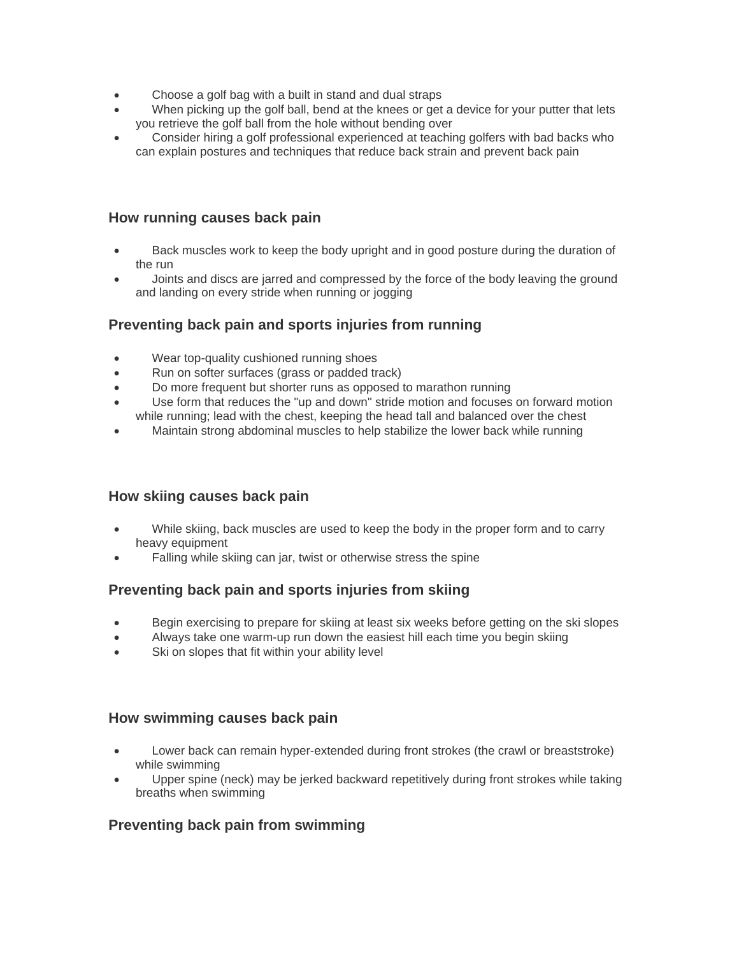- Choose a golf bag with a built in stand and dual straps
- When picking up the golf ball, bend at the knees or get a device for your putter that lets you retrieve the golf ball from the hole without bending over
- Consider hiring a golf professional experienced at teaching golfers with bad backs who can explain postures and techniques that reduce back strain and prevent back pain

#### **How running causes back pain**

- Back muscles work to keep the body upright and in good posture during the duration of the run
- Joints and discs are jarred and compressed by the force of the body leaving the ground and landing on every stride when running or jogging

#### **Preventing back pain and sports injuries from running**

- Wear top-quality cushioned running shoes
- Run on softer surfaces (grass or padded track)
- Do more frequent but shorter runs as opposed to marathon running
- Use form that reduces the "up and down" stride motion and focuses on forward motion while running; lead with the chest, keeping the head tall and balanced over the chest
- Maintain strong abdominal muscles to help stabilize the lower back while running

#### **How skiing causes back pain**

- While skiing, back muscles are used to keep the body in the proper form and to carry heavy equipment
- Falling while skiing can jar, twist or otherwise stress the spine

## **Preventing back pain and sports injuries from skiing**

- Begin exercising to prepare for skiing at least six weeks before getting on the ski slopes
- Always take one warm-up run down the easiest hill each time you begin skiing
- Ski on slopes that fit within your ability level

#### **How swimming causes back pain**

- Lower back can remain hyper-extended during front strokes (the crawl or breaststroke) while swimming
- Upper spine (neck) may be jerked backward repetitively during front strokes while taking breaths when swimming

## **Preventing back pain from swimming**